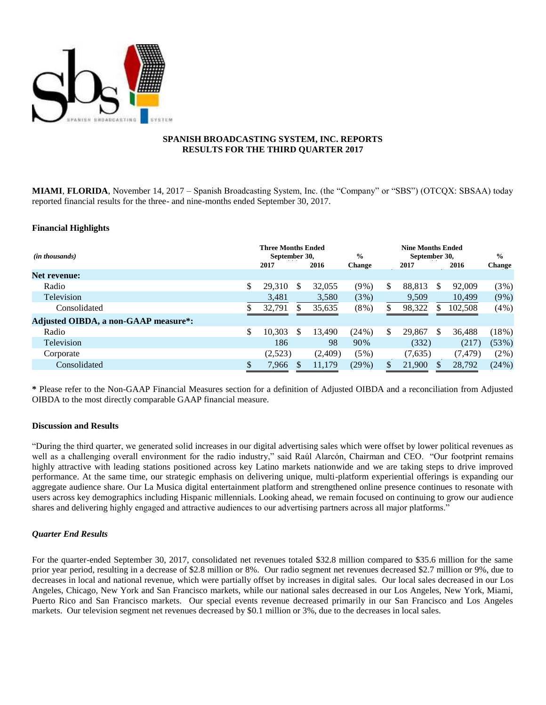

## **SPANISH BROADCASTING SYSTEM, INC. REPORTS RESULTS FOR THE THIRD QUARTER 2017**

**MIAMI**, **FLORIDA**, November 14, 2017 – Spanish Broadcasting System, Inc. (the "Company" or "SBS") (OTCQX: SBSAA) today reported financial results for the three- and nine-months ended September 30, 2017.

#### **Financial Highlights**

| ( <i>in thousands</i> )              | <b>Three Months Ended</b><br>September 30.<br>2017 |    | 2016    | $\frac{0}{0}$<br><b>Change</b> | <b>Nine Months Ended</b><br>September 30.<br>2017 |     | 2016     | $\frac{0}{0}$<br>Change |
|--------------------------------------|----------------------------------------------------|----|---------|--------------------------------|---------------------------------------------------|-----|----------|-------------------------|
| <b>Net revenue:</b>                  |                                                    |    |         |                                |                                                   |     |          |                         |
| Radio                                | \$<br>29,310                                       | S  | 32,055  | $(9\%)$                        | \$<br>88,813                                      | S   | 92,009   | (3%)                    |
| Television                           | 3,481                                              |    | 3,580   | $(3\%)$                        | 9,509                                             |     | 10,499   | $(9\%)$                 |
| Consolidated                         | 32,791                                             | S  | 35,635  | $(8\%)$                        | 98,322                                            | S   | 102,508  | (4%)                    |
| Adjusted OIBDA, a non-GAAP measure*: |                                                    |    |         |                                |                                                   |     |          |                         |
| Radio                                | \$<br>10,303                                       | \$ | 13,490  | (24%)                          | \$<br>29,867                                      | \$. | 36.488   | (18%)                   |
| Television                           | 186                                                |    | 98      | 90%                            | (332)                                             |     | (217)    | (53%)                   |
| Corporate                            | (2,523)                                            |    | (2,409) | $(5\%)$                        | (7,635)                                           |     | (7, 479) | $(2\%)$                 |
| Consolidated                         | 7,966                                              |    | 11,179  | (29%)                          | 21,900                                            |     | 28,792   | $(24\%)$                |

**\*** Please refer to the Non-GAAP Financial Measures section for a definition of Adjusted OIBDA and a reconciliation from Adjusted OIBDA to the most directly comparable GAAP financial measure.

#### **Discussion and Results**

"During the third quarter, we generated solid increases in our digital advertising sales which were offset by lower political revenues as well as a challenging overall environment for the radio industry," said Raúl Alarcón, Chairman and CEO. "Our footprint remains highly attractive with leading stations positioned across key Latino markets nationwide and we are taking steps to drive improved performance. At the same time, our strategic emphasis on delivering unique, multi-platform experiential offerings is expanding our aggregate audience share. Our La Musica digital entertainment platform and strengthened online presence continues to resonate with users across key demographics including Hispanic millennials. Looking ahead, we remain focused on continuing to grow our audience shares and delivering highly engaged and attractive audiences to our advertising partners across all major platforms."

## *Quarter End Results*

For the quarter-ended September 30, 2017, consolidated net revenues totaled \$32.8 million compared to \$35.6 million for the same prior year period, resulting in a decrease of \$2.8 million or 8%. Our radio segment net revenues decreased \$2.7 million or 9%, due to decreases in local and national revenue, which were partially offset by increases in digital sales. Our local sales decreased in our Los Angeles, Chicago, New York and San Francisco markets, while our national sales decreased in our Los Angeles, New York, Miami, Puerto Rico and San Francisco markets. Our special events revenue decreased primarily in our San Francisco and Los Angeles markets. Our television segment net revenues decreased by \$0.1 million or 3%, due to the decreases in local sales.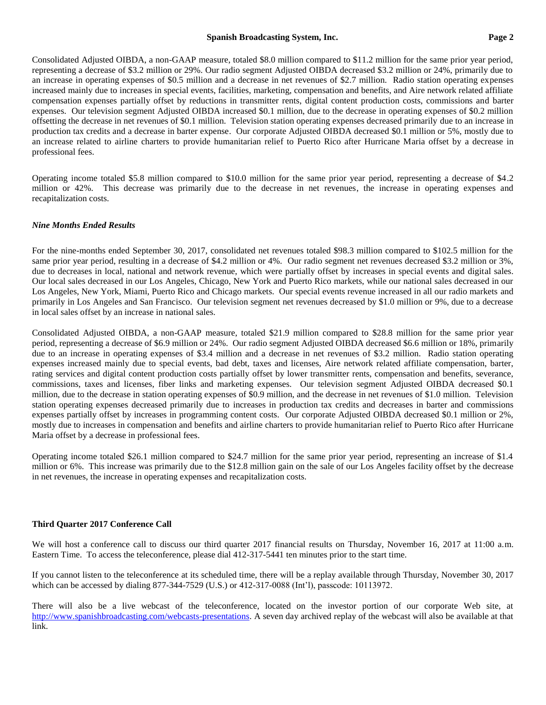#### **Spanish Broadcasting System, Inc. Page 2**

Consolidated Adjusted OIBDA, a non-GAAP measure, totaled \$8.0 million compared to \$11.2 million for the same prior year period, representing a decrease of \$3.2 million or 29%. Our radio segment Adjusted OIBDA decreased \$3.2 million or 24%, primarily due to an increase in operating expenses of \$0.5 million and a decrease in net revenues of \$2.7 million. Radio station operating expenses increased mainly due to increases in special events, facilities, marketing, compensation and benefits, and Aire network related affiliate compensation expenses partially offset by reductions in transmitter rents, digital content production costs, commissions and barter expenses. Our television segment Adjusted OIBDA increased \$0.1 million, due to the decrease in operating expenses of \$0.2 million offsetting the decrease in net revenues of \$0.1 million. Television station operating expenses decreased primarily due to an increase in production tax credits and a decrease in barter expense. Our corporate Adjusted OIBDA decreased \$0.1 million or 5%, mostly due to an increase related to airline charters to provide humanitarian relief to Puerto Rico after Hurricane Maria offset by a decrease in professional fees.

Operating income totaled \$5.8 million compared to \$10.0 million for the same prior year period, representing a decrease of \$4.2 million or 42%. This decrease was primarily due to the decrease in net revenues, the increase in operating expenses and recapitalization costs.

#### *Nine Months Ended Results*

For the nine-months ended September 30, 2017, consolidated net revenues totaled \$98.3 million compared to \$102.5 million for the same prior year period, resulting in a decrease of \$4.2 million or 4%. Our radio segment net revenues decreased \$3.2 million or 3%, due to decreases in local, national and network revenue, which were partially offset by increases in special events and digital sales. Our local sales decreased in our Los Angeles, Chicago, New York and Puerto Rico markets, while our national sales decreased in our Los Angeles, New York, Miami, Puerto Rico and Chicago markets. Our special events revenue increased in all our radio markets and primarily in Los Angeles and San Francisco. Our television segment net revenues decreased by \$1.0 million or 9%, due to a decrease in local sales offset by an increase in national sales.

Consolidated Adjusted OIBDA, a non-GAAP measure, totaled \$21.9 million compared to \$28.8 million for the same prior year period, representing a decrease of \$6.9 million or 24%. Our radio segment Adjusted OIBDA decreased \$6.6 million or 18%, primarily due to an increase in operating expenses of \$3.4 million and a decrease in net revenues of \$3.2 million. Radio station operating expenses increased mainly due to special events, bad debt, taxes and licenses, Aire network related affiliate compensation, barter, rating services and digital content production costs partially offset by lower transmitter rents, compensation and benefits, severance, commissions, taxes and licenses, fiber links and marketing expenses. Our television segment Adjusted OIBDA decreased \$0.1 million, due to the decrease in station operating expenses of \$0.9 million, and the decrease in net revenues of \$1.0 million. Television station operating expenses decreased primarily due to increases in production tax credits and decreases in barter and commissions expenses partially offset by increases in programming content costs. Our corporate Adjusted OIBDA decreased \$0.1 million or 2%, mostly due to increases in compensation and benefits and airline charters to provide humanitarian relief to Puerto Rico after Hurricane Maria offset by a decrease in professional fees.

Operating income totaled \$26.1 million compared to \$24.7 million for the same prior year period, representing an increase of \$1.4 million or 6%. This increase was primarily due to the \$12.8 million gain on the sale of our Los Angeles facility offset by the decrease in net revenues, the increase in operating expenses and recapitalization costs.

#### **Third Quarter 2017 Conference Call**

We will host a conference call to discuss our third quarter 2017 financial results on Thursday, November 16, 2017 at 11:00 a.m. Eastern Time. To access the teleconference, please dial 412-317-5441 ten minutes prior to the start time.

If you cannot listen to the teleconference at its scheduled time, there will be a replay available through Thursday, November 30, 2017 which can be accessed by dialing 877-344-7529 (U.S.) or 412-317-0088 (Int'l), passcode: 10113972.

There will also be a live webcast of the teleconference, located on the investor portion of our corporate Web site, at [http://www.spanishbroadcasting.com/webcasts-presentations.](http://www.spanishbroadcasting.com/webcasts-presentations) A seven day archived replay of the webcast will also be available at that link.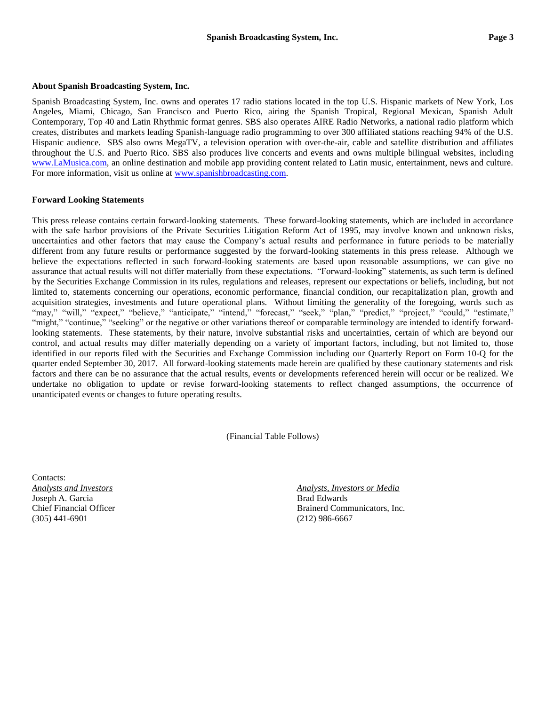#### **About Spanish Broadcasting System, Inc.**

Spanish Broadcasting System, Inc. owns and operates 17 radio stations located in the top U.S. Hispanic markets of New York, Los Angeles, Miami, Chicago, San Francisco and Puerto Rico, airing the Spanish Tropical, Regional Mexican, Spanish Adult Contemporary, Top 40 and Latin Rhythmic format genres. SBS also operates AIRE Radio Networks, a national radio platform which creates, distributes and markets leading Spanish-language radio programming to over 300 affiliated stations reaching 94% of the U.S. Hispanic audience. SBS also owns MegaTV, a television operation with over-the-air, cable and satellite distribution and affiliates throughout the U.S. and Puerto Rico. SBS also produces live concerts and events and owns multiple bilingual websites, including [www.LaMusica.com,](http://www.lamusica.com/) an online destination and mobile app providing content related to Latin music, entertainment, news and culture. For more information, visit us online at [www.spanishbroadcasting.com.](http://www.spanishbroadcasting.com/)

#### **Forward Looking Statements**

This press release contains certain forward-looking statements. These forward-looking statements, which are included in accordance with the safe harbor provisions of the Private Securities Litigation Reform Act of 1995, may involve known and unknown risks, uncertainties and other factors that may cause the Company's actual results and performance in future periods to be materially different from any future results or performance suggested by the forward-looking statements in this press release. Although we believe the expectations reflected in such forward-looking statements are based upon reasonable assumptions, we can give no assurance that actual results will not differ materially from these expectations. "Forward-looking" statements, as such term is defined by the Securities Exchange Commission in its rules, regulations and releases, represent our expectations or beliefs, including, but not limited to, statements concerning our operations, economic performance, financial condition, our recapitalization plan, growth and acquisition strategies, investments and future operational plans. Without limiting the generality of the foregoing, words such as "may," "will," "expect," "believe," "anticipate," "intend," "forecast," "seek," "plan," "predict," "project," "could," "estimate," "might," "continue," "seeking" or the negative or other variations thereof or comparable terminology are intended to identify forwardlooking statements. These statements, by their nature, involve substantial risks and uncertainties, certain of which are beyond our control, and actual results may differ materially depending on a variety of important factors, including, but not limited to, those identified in our reports filed with the Securities and Exchange Commission including our Quarterly Report on Form 10-Q for the quarter ended September 30, 2017. All forward-looking statements made herein are qualified by these cautionary statements and risk factors and there can be no assurance that the actual results, events or developments referenced herein will occur or be realized. We undertake no obligation to update or revise forward-looking statements to reflect changed assumptions, the occurrence of unanticipated events or changes to future operating results.

(Financial Table Follows)

Contacts: Joseph A. Garcia **Brad Edwards** Brad Edwards **Brad Edwards** (305) 441-6901 (212) 986-6667

*Analysts and Investors Analysts, Investors or Media* Chief Financial Officer Brainerd Communicators, Inc.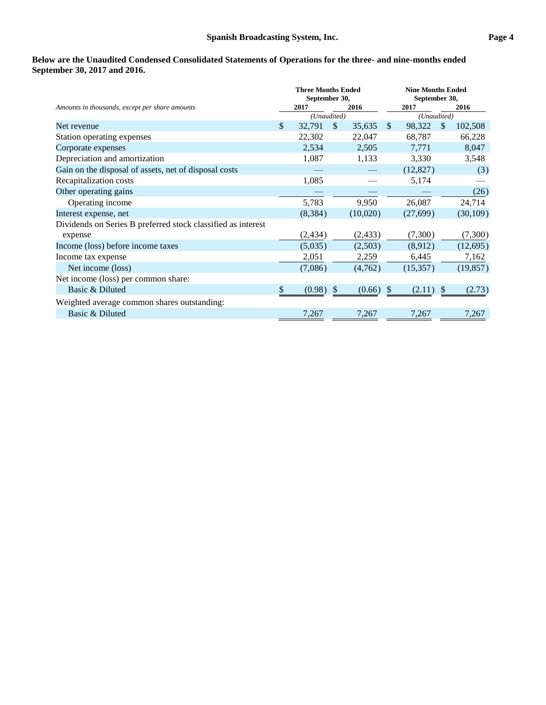# **Below are the Unaudited Condensed Consolidated Statements of Operations for the three- and nine-months ended September 30, 2017 and 2016.**

|                                                              | <b>Three Months Ended</b><br>September 30, |             |               | <b>Nine Months Ended</b><br>September 30, |               |             |               |           |
|--------------------------------------------------------------|--------------------------------------------|-------------|---------------|-------------------------------------------|---------------|-------------|---------------|-----------|
| Amounts in thousands, except per share amounts               |                                            | 2017        |               | 2016                                      |               | 2017        |               | 2016      |
|                                                              |                                            | (Unaudited) |               |                                           |               | (Unaudited) |               |           |
| Net revenue                                                  | \$                                         | 32,791      | $\mathbb{S}$  | 35,635                                    | $\mathbb{S}$  | 98,322      | <sup>\$</sup> | 102,508   |
| Station operating expenses                                   |                                            | 22,302      |               | 22,047                                    |               | 68,787      |               | 66,228    |
| Corporate expenses                                           |                                            | 2,534       |               | 2,505                                     |               | 7,771       |               | 8,047     |
| Depreciation and amortization                                |                                            | 1,087       |               | 1,133                                     |               | 3,330       |               | 3,548     |
| Gain on the disposal of assets, net of disposal costs        |                                            |             |               |                                           |               | (12, 827)   |               | (3)       |
| Recapitalization costs                                       |                                            | 1,085       |               |                                           |               | 5,174       |               |           |
| Other operating gains                                        |                                            |             |               |                                           |               |             |               | (26)      |
| Operating income                                             |                                            | 5,783       |               | 9,950                                     |               | 26,087      |               | 24,714    |
| Interest expense, net                                        |                                            | (8,384)     |               | (10,020)                                  |               | (27, 699)   |               | (30, 109) |
| Dividends on Series B preferred stock classified as interest |                                            |             |               |                                           |               |             |               |           |
| expense                                                      |                                            | (2, 434)    |               | (2, 433)                                  |               | (7,300)     |               | (7,300)   |
| Income (loss) before income taxes                            |                                            | (5,035)     |               | (2,503)                                   |               | (8,912)     |               | (12, 695) |
| Income tax expense                                           |                                            | 2,051       |               | 2,259                                     |               | 6,445       |               | 7,162     |
| Net income (loss)                                            |                                            | (7,086)     |               | (4,762)                                   |               | (15, 357)   |               | (19, 857) |
| Net income (loss) per common share:                          |                                            |             |               |                                           |               |             |               |           |
| Basic & Diluted                                              | \$                                         | (0.98)      | <sup>\$</sup> | (0.66)                                    | <sup>\$</sup> | (2.11)      |               | (2.73)    |
| Weighted average common shares outstanding:                  |                                            |             |               |                                           |               |             |               |           |
| Basic & Diluted                                              |                                            | 7,267       |               | 7,267                                     |               | 7,267       |               | 7,267     |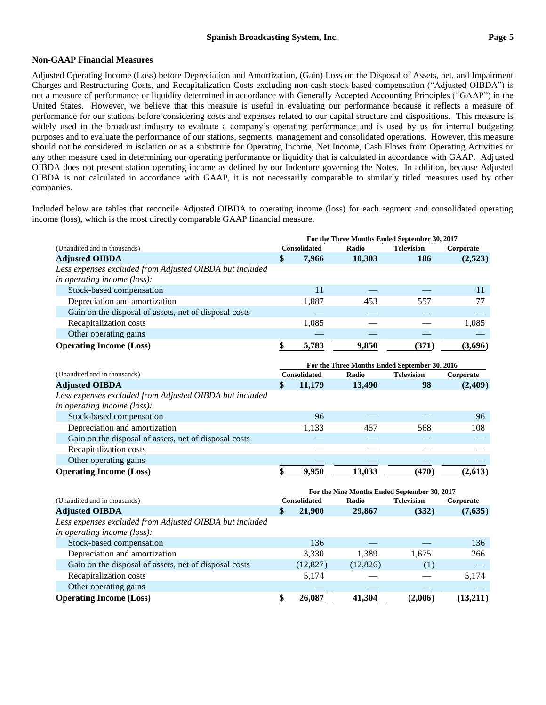### **Non-GAAP Financial Measures**

Adjusted Operating Income (Loss) before Depreciation and Amortization, (Gain) Loss on the Disposal of Assets, net, and Impairment Charges and Restructuring Costs, and Recapitalization Costs excluding non-cash stock-based compensation ("Adjusted OIBDA") is not a measure of performance or liquidity determined in accordance with Generally Accepted Accounting Principles ("GAAP") in the United States. However, we believe that this measure is useful in evaluating our performance because it reflects a measure of performance for our stations before considering costs and expenses related to our capital structure and dispositions. This measure is widely used in the broadcast industry to evaluate a company's operating performance and is used by us for internal budgeting purposes and to evaluate the performance of our stations, segments, management and consolidated operations. However, this measure should not be considered in isolation or as a substitute for Operating Income, Net Income, Cash Flows from Operating Activities or any other measure used in determining our operating performance or liquidity that is calculated in accordance with GAAP. Adjusted OIBDA does not present station operating income as defined by our Indenture governing the Notes. In addition, because Adjusted OIBDA is not calculated in accordance with GAAP, it is not necessarily comparable to similarly titled measures used by other companies.

Included below are tables that reconcile Adjusted OIBDA to operating income (loss) for each segment and consolidated operating income (loss), which is the most directly comparable GAAP financial measure.

|                                                                                        |    | For the Three Months Ended September 30, 2017 |           |                                               |           |
|----------------------------------------------------------------------------------------|----|-----------------------------------------------|-----------|-----------------------------------------------|-----------|
| (Unaudited and in thousands)                                                           |    | <b>Consolidated</b>                           | Radio     | <b>Television</b>                             | Corporate |
| <b>Adjusted OIBDA</b>                                                                  | \$ | 7,966                                         | 10,303    | 186                                           | (2,523)   |
| Less expenses excluded from Adjusted OIBDA but included<br>in operating income (loss): |    |                                               |           |                                               |           |
| Stock-based compensation                                                               |    | 11                                            |           |                                               | 11        |
| Depreciation and amortization                                                          |    | 1,087                                         | 453       | 557                                           | 77        |
| Gain on the disposal of assets, net of disposal costs                                  |    |                                               |           |                                               |           |
| Recapitalization costs                                                                 |    | 1,085                                         |           |                                               | 1,085     |
| Other operating gains                                                                  |    |                                               |           |                                               |           |
| <b>Operating Income (Loss)</b>                                                         | \$ | 5,783                                         | 9,850     | (371)                                         | (3,696)   |
|                                                                                        |    |                                               |           | For the Three Months Ended September 30, 2016 |           |
| (Unaudited and in thousands)                                                           |    | <b>Consolidated</b>                           | Radio     | <b>Television</b>                             | Corporate |
| <b>Adjusted OIBDA</b>                                                                  | \$ | 11,179                                        | 13,490    | 98                                            | (2,409)   |
| Less expenses excluded from Adjusted OIBDA but included                                |    |                                               |           |                                               |           |
| in operating income (loss):                                                            |    |                                               |           |                                               |           |
| Stock-based compensation                                                               |    | 96                                            |           |                                               | 96        |
| Depreciation and amortization                                                          |    | 1,133                                         | 457       | 568                                           | 108       |
| Gain on the disposal of assets, net of disposal costs                                  |    |                                               |           |                                               |           |
| Recapitalization costs                                                                 |    |                                               |           |                                               |           |
| Other operating gains                                                                  |    |                                               |           |                                               |           |
| <b>Operating Income (Loss)</b>                                                         | \$ | 9,950                                         | 13,033    | (470)                                         | (2,613)   |
|                                                                                        |    |                                               |           | For the Nine Months Ended September 30, 2017  |           |
| (Unaudited and in thousands)                                                           |    | <b>Consolidated</b>                           | Radio     | <b>Television</b>                             | Corporate |
| <b>Adjusted OIBDA</b>                                                                  | \$ | 21,900                                        | 29,867    | (332)                                         | (7,635)   |
| Less expenses excluded from Adjusted OIBDA but included                                |    |                                               |           |                                               |           |
| in operating income (loss):                                                            |    |                                               |           |                                               |           |
| Stock-based compensation                                                               |    | 136                                           |           |                                               | 136       |
| Depreciation and amortization                                                          |    | 3,330                                         | 1,389     | 1,675                                         | 266       |
| Gain on the disposal of assets, net of disposal costs                                  |    | (12, 827)                                     | (12, 826) | (1)                                           |           |
| Recapitalization costs                                                                 |    | 5,174                                         |           |                                               | 5,174     |
| Other operating gains                                                                  |    |                                               |           |                                               |           |
| <b>Operating Income (Loss)</b>                                                         | \$ | 26,087                                        | 41,304    | (2,006)                                       | (13,211)  |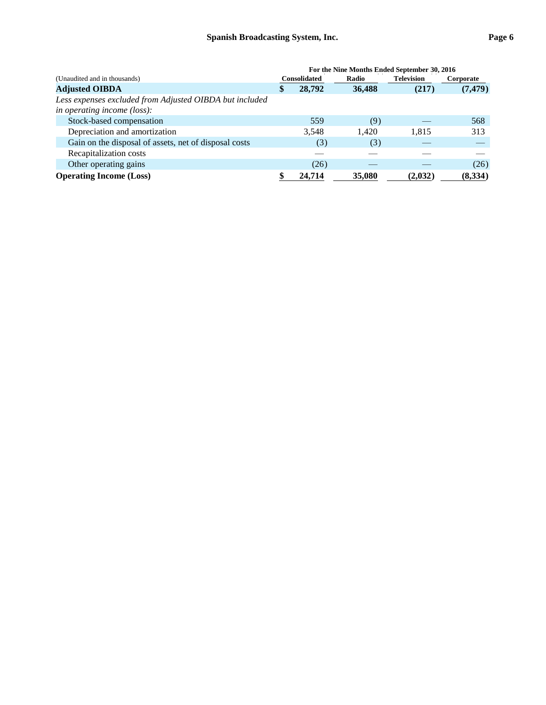|                                                                                        | For the Nine Months Ended September 30, 2016 |        |        |                   |           |  |
|----------------------------------------------------------------------------------------|----------------------------------------------|--------|--------|-------------------|-----------|--|
| (Unaudited and in thousands)                                                           | <b>Consolidated</b>                          |        | Radio  | <b>Television</b> | Corporate |  |
| <b>Adjusted OIBDA</b>                                                                  | \$                                           | 28,792 | 36,488 | (217)             | (7, 479)  |  |
| Less expenses excluded from Adjusted OIBDA but included<br>in operating income (loss): |                                              |        |        |                   |           |  |
| Stock-based compensation                                                               |                                              | 559    | (9)    |                   | 568       |  |
| Depreciation and amortization                                                          |                                              | 3,548  | 1.420  | 1,815             | 313       |  |
| Gain on the disposal of assets, net of disposal costs                                  |                                              | (3)    | (3)    |                   |           |  |
| Recapitalization costs                                                                 |                                              |        |        |                   |           |  |
| Other operating gains                                                                  |                                              | (26)   |        |                   | (26)      |  |
| <b>Operating Income (Loss)</b>                                                         |                                              | 24.714 | 35,080 | (2,032)           | (8,334)   |  |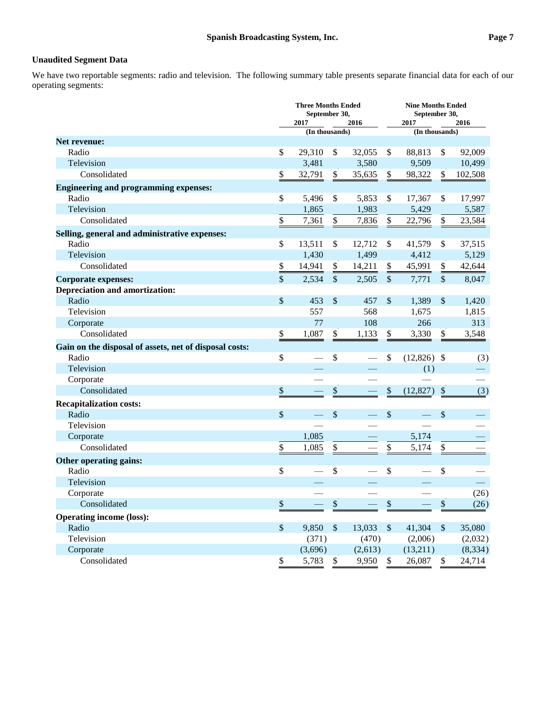# **Unaudited Segment Data**

We have two reportable segments: radio and television. The following summary table presents separate financial data for each of our operating segments:

|                                                        | <b>Three Months Ended</b><br>September 30,<br>2017<br>2016 |                           |         | <b>Nine Months Ended</b><br>September 30,<br>2017<br>2016 |                |               |          |
|--------------------------------------------------------|------------------------------------------------------------|---------------------------|---------|-----------------------------------------------------------|----------------|---------------|----------|
|                                                        | (In thousands)                                             |                           |         |                                                           | (In thousands) |               |          |
| Net revenue:                                           |                                                            |                           |         |                                                           |                |               |          |
| Radio                                                  | \$<br>29,310                                               | \$                        | 32,055  | \$                                                        | 88,813         | \$            | 92,009   |
| Television                                             | 3,481                                                      |                           | 3,580   |                                                           | 9,509          |               | 10,499   |
| Consolidated                                           | \$<br>32,791                                               | \$                        | 35,635  | \$                                                        | 98,322         | \$            | 102,508  |
| <b>Engineering and programming expenses:</b>           |                                                            |                           |         |                                                           |                |               |          |
| Radio                                                  | \$<br>5,496                                                | \$                        | 5,853   | \$                                                        | 17,367         | \$            | 17,997   |
| Television                                             | 1,865                                                      |                           | 1,983   |                                                           | 5,429          |               | 5,587    |
| Consolidated                                           | \$<br>7,361                                                | $\$$                      | 7,836   | \$                                                        | 22,796         | \$            | 23,584   |
| Selling, general and administrative expenses:          |                                                            |                           |         |                                                           |                |               |          |
| Radio                                                  | \$<br>13,511                                               | \$                        | 12,712  | \$                                                        | 41,579         | \$            | 37,515   |
| Television                                             | 1,430                                                      |                           | 1,499   |                                                           | 4,412          |               | 5,129    |
| Consolidated                                           | \$<br>14,941                                               | \$                        | 14,211  | \$                                                        | 45,991         | \$            | 42,644   |
| <b>Corporate expenses:</b>                             | \$<br>2,534                                                | $\sqrt$                   | 2,505   | $\sqrt$                                                   | 7,771          | $\mathcal{S}$ | 8,047    |
| <b>Depreciation and amortization:</b>                  |                                                            |                           |         |                                                           |                |               |          |
| Radio                                                  | \$<br>453                                                  | $\boldsymbol{\mathsf{S}}$ | 457     | \$                                                        | 1,389          | \$            | 1,420    |
| Television                                             | 557                                                        |                           | 568     |                                                           | 1,675          |               | 1,815    |
| Corporate                                              | 77                                                         |                           | 108     |                                                           | 266            |               | 313      |
| Consolidated                                           | \$<br>1,087                                                | $\boldsymbol{\$}$         | 1,133   | \$                                                        | 3,330          | \$            | 3,548    |
| Gain on the disposal of assets, net of disposal costs: |                                                            |                           |         |                                                           |                |               |          |
| Radio                                                  | \$                                                         | \$                        |         | \$                                                        | $(12,826)$ \$  |               | (3)      |
| Television                                             |                                                            |                           |         |                                                           | (1)            |               |          |
| Corporate                                              |                                                            |                           |         |                                                           |                |               |          |
| Consolidated                                           | \$                                                         | \$                        |         | \$                                                        | (12, 827)      | $\mathcal{S}$ | (3)      |
| <b>Recapitalization costs:</b>                         |                                                            |                           |         |                                                           |                |               |          |
| Radio                                                  | \$                                                         | \$                        |         | \$                                                        |                | \$            |          |
| Television                                             |                                                            |                           |         |                                                           |                |               |          |
| Corporate                                              | 1,085                                                      |                           |         |                                                           | 5,174          |               |          |
| Consolidated                                           | \$<br>1,085                                                | \$                        |         | \$                                                        | 5,174          | \$            |          |
| Other operating gains:                                 |                                                            |                           |         |                                                           |                |               |          |
| Radio                                                  | \$                                                         | \$                        |         | \$                                                        |                | \$            |          |
| Television                                             |                                                            |                           |         |                                                           |                |               |          |
| Corporate                                              |                                                            |                           |         |                                                           |                |               | (26)     |
| Consolidated                                           | \$                                                         | $\boldsymbol{\$}$         |         | \$                                                        |                | \$            | (26)     |
| <b>Operating income (loss):</b>                        |                                                            |                           |         |                                                           |                |               |          |
| Radio                                                  | \$<br>9,850                                                | $\boldsymbol{\mathsf{S}}$ | 13,033  | $\boldsymbol{\mathsf{S}}$                                 | 41,304         | $\mathcal{S}$ | 35,080   |
| Television                                             | (371)                                                      |                           | (470)   |                                                           | (2,006)        |               | (2,032)  |
| Corporate                                              | (3,696)                                                    |                           | (2,613) |                                                           | (13,211)       |               | (8, 334) |
| Consolidated                                           | \$<br>5,783                                                | $\$$                      | 9,950   | \$                                                        | 26,087         | \$            | 24,714   |